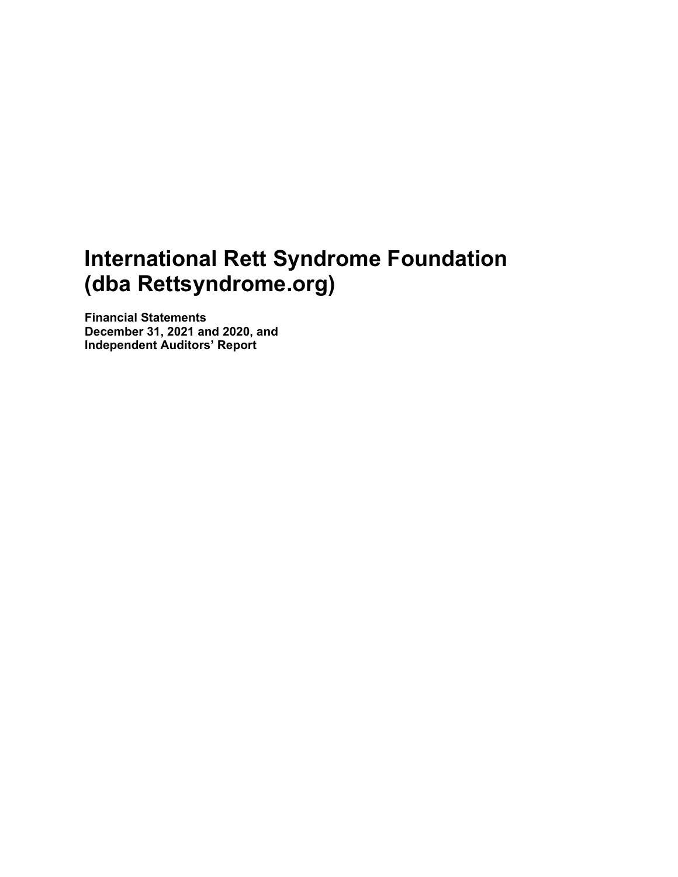# **International Rett Syndrome Foundation (dba Rettsyndrome.org)**

**Financial Statements December 31, 2021 and 2020, and Independent Auditors' Report**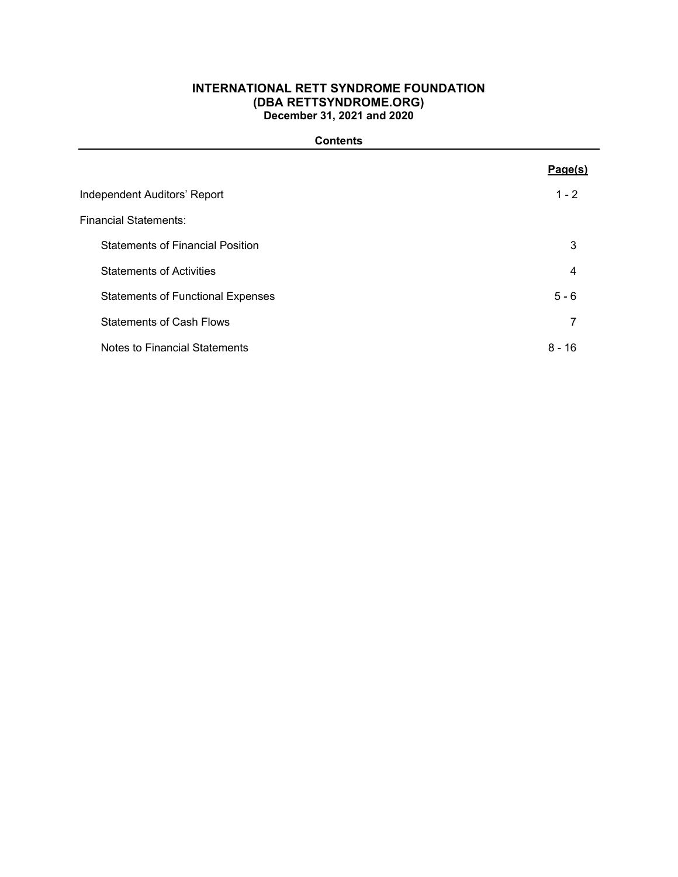# **INTERNATIONAL RETT SYNDROME FOUNDATION (DBA RETTSYNDROME.ORG) December 31, 2021 and 2020**

|  |  | Contents |
|--|--|----------|
|--|--|----------|

|                                          | Page(s)  |
|------------------------------------------|----------|
| Independent Auditors' Report             | $1 - 2$  |
| <b>Financial Statements:</b>             |          |
| <b>Statements of Financial Position</b>  | 3        |
| <b>Statements of Activities</b>          | 4        |
| <b>Statements of Functional Expenses</b> | $5 - 6$  |
| <b>Statements of Cash Flows</b>          | 7        |
| Notes to Financial Statements            | $8 - 16$ |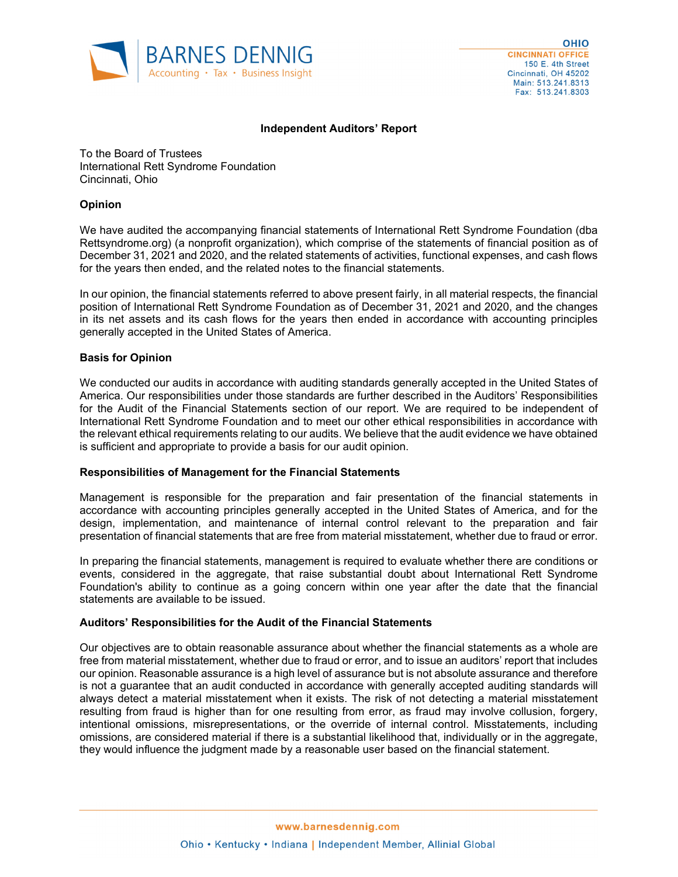

**OHIO CINCINNATI OFFICE** 150 E. 4th Street Cincinnati, OH 45202 Main: 513 241 8313 Fax: 513.241.8303

#### **Independent Auditors' Report**

To the Board of Trustees International Rett Syndrome Foundation Cincinnati, Ohio

#### **Opinion**

We have audited the accompanying financial statements of International Rett Syndrome Foundation (dba Rettsyndrome.org) (a nonprofit organization), which comprise of the statements of financial position as of December 31, 2021 and 2020, and the related statements of activities, functional expenses, and cash flows for the years then ended, and the related notes to the financial statements.

In our opinion, the financial statements referred to above present fairly, in all material respects, the financial position of International Rett Syndrome Foundation as of December 31, 2021 and 2020, and the changes in its net assets and its cash flows for the years then ended in accordance with accounting principles generally accepted in the United States of America.

#### **Basis for Opinion**

We conducted our audits in accordance with auditing standards generally accepted in the United States of America. Our responsibilities under those standards are further described in the Auditors' Responsibilities for the Audit of the Financial Statements section of our report. We are required to be independent of International Rett Syndrome Foundation and to meet our other ethical responsibilities in accordance with the relevant ethical requirements relating to our audits. We believe that the audit evidence we have obtained is sufficient and appropriate to provide a basis for our audit opinion.

## **Responsibilities of Management for the Financial Statements**

Management is responsible for the preparation and fair presentation of the financial statements in accordance with accounting principles generally accepted in the United States of America, and for the design, implementation, and maintenance of internal control relevant to the preparation and fair presentation of financial statements that are free from material misstatement, whether due to fraud or error.

In preparing the financial statements, management is required to evaluate whether there are conditions or events, considered in the aggregate, that raise substantial doubt about International Rett Syndrome Foundation's ability to continue as a going concern within one year after the date that the financial statements are available to be issued.

#### **Auditors' Responsibilities for the Audit of the Financial Statements**

Our objectives are to obtain reasonable assurance about whether the financial statements as a whole are free from material misstatement, whether due to fraud or error, and to issue an auditors' report that includes our opinion. Reasonable assurance is a high level of assurance but is not absolute assurance and therefore is not a guarantee that an audit conducted in accordance with generally accepted auditing standards will always detect a material misstatement when it exists. The risk of not detecting a material misstatement resulting from fraud is higher than for one resulting from error, as fraud may involve collusion, forgery, intentional omissions, misrepresentations, or the override of internal control. Misstatements, including omissions, are considered material if there is a substantial likelihood that, individually or in the aggregate, they would influence the judgment made by a reasonable user based on the financial statement.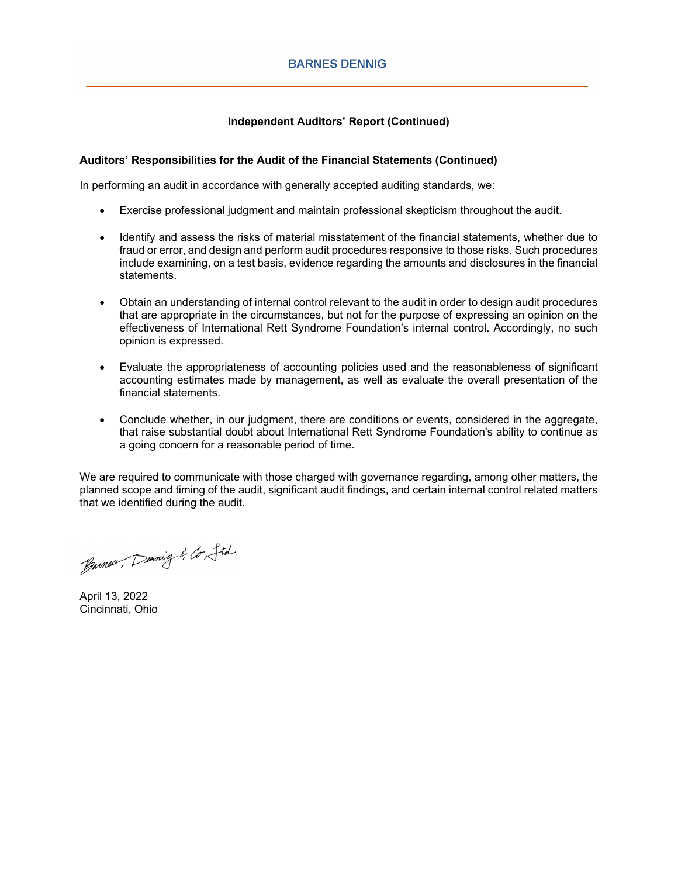## **Independent Auditors' Report (Continued)**

#### **Auditors' Responsibilities for the Audit of the Financial Statements (Continued)**

In performing an audit in accordance with generally accepted auditing standards, we:

- Exercise professional judgment and maintain professional skepticism throughout the audit.
- Identify and assess the risks of material misstatement of the financial statements, whether due to fraud or error, and design and perform audit procedures responsive to those risks. Such procedures include examining, on a test basis, evidence regarding the amounts and disclosures in the financial statements.
- Obtain an understanding of internal control relevant to the audit in order to design audit procedures that are appropriate in the circumstances, but not for the purpose of expressing an opinion on the effectiveness of International Rett Syndrome Foundation's internal control. Accordingly, no such opinion is expressed.
- Evaluate the appropriateness of accounting policies used and the reasonableness of significant accounting estimates made by management, as well as evaluate the overall presentation of the financial statements.
- Conclude whether, in our judgment, there are conditions or events, considered in the aggregate, that raise substantial doubt about International Rett Syndrome Foundation's ability to continue as a going concern for a reasonable period of time.

We are required to communicate with those charged with governance regarding, among other matters, the planned scope and timing of the audit, significant audit findings, and certain internal control related matters that we identified during the audit.

Gunner, Duning & Co., Std.

April 13, 2022 Cincinnati, Ohio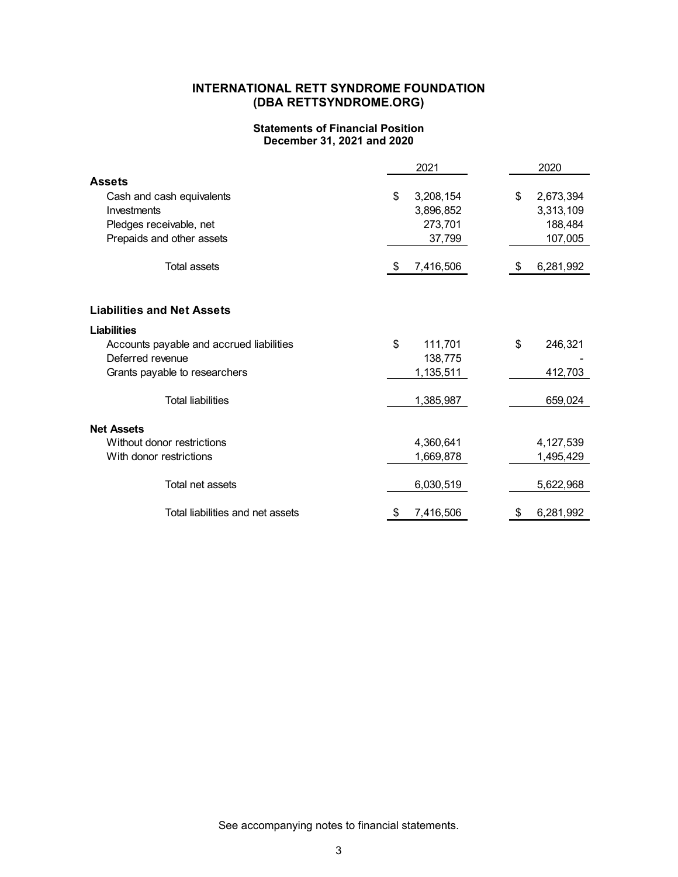## **Statements of Financial Position December 31, 2021 and 2020**

| 2021            |                                                  | 2020            |
|-----------------|--------------------------------------------------|-----------------|
|                 |                                                  |                 |
| \$<br>3,208,154 |                                                  | \$<br>2,673,394 |
| 3,896,852       |                                                  | 3,313,109       |
| 273,701         |                                                  | 188,484         |
| 37,799          |                                                  | 107,005         |
|                 |                                                  | 6,281,992       |
|                 |                                                  |                 |
|                 |                                                  |                 |
|                 |                                                  |                 |
| \$<br>111,701   |                                                  | \$<br>246,321   |
| 138,775         |                                                  |                 |
| 1,135,511       |                                                  | 412,703         |
|                 |                                                  | 659,024         |
|                 |                                                  |                 |
|                 |                                                  |                 |
|                 |                                                  | 4,127,539       |
|                 |                                                  | 1,495,429       |
| 6,030,519       |                                                  | 5,622,968       |
| \$<br>7,416,506 |                                                  | \$<br>6,281,992 |
| \$              | 7,416,506<br>1,385,987<br>4,360,641<br>1,669,878 | \$              |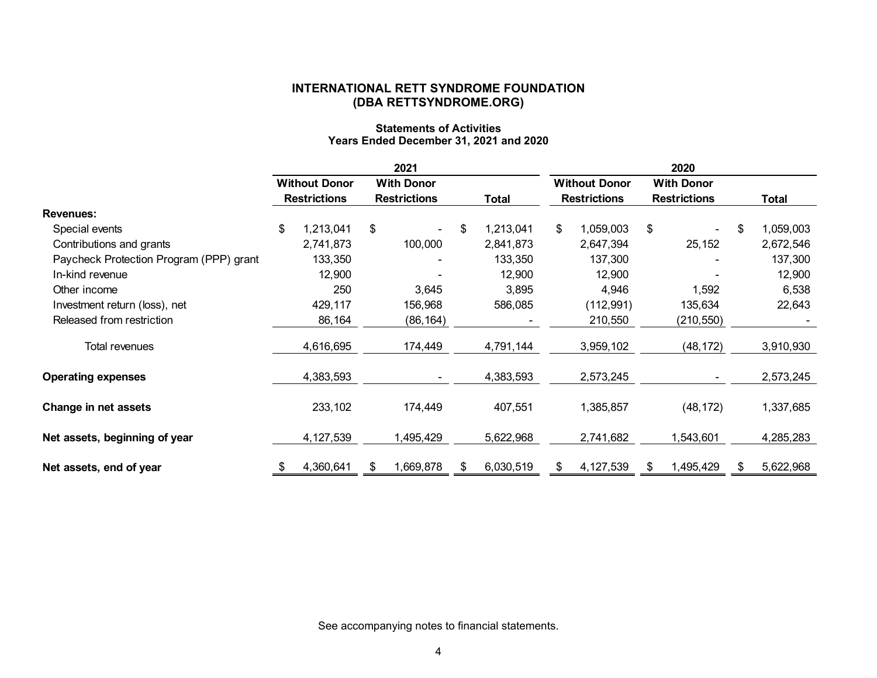## **Statements of Activities Years Ended December 31, 2021 and 2020**

|                                         | 2021                                      |                     |    |                     |    | 2020                 |    |                     |    |                     |    |           |
|-----------------------------------------|-------------------------------------------|---------------------|----|---------------------|----|----------------------|----|---------------------|----|---------------------|----|-----------|
|                                         | <b>Without Donor</b><br><b>With Donor</b> |                     |    |                     |    | <b>Without Donor</b> |    | <b>With Donor</b>   |    |                     |    |           |
|                                         |                                           | <b>Restrictions</b> |    | <b>Restrictions</b> |    | Total                |    | <b>Restrictions</b> |    | <b>Restrictions</b> |    | Total     |
| <b>Revenues:</b>                        |                                           |                     |    |                     |    |                      |    |                     |    |                     |    |           |
| Special events                          | \$                                        | 1,213,041           | \$ | $\blacksquare$      | \$ | 1,213,041            | \$ | 1,059,003           | \$ | $\blacksquare$      | \$ | 1,059,003 |
| Contributions and grants                |                                           | 2,741,873           |    | 100,000             |    | 2,841,873            |    | 2,647,394           |    | 25,152              |    | 2,672,546 |
| Paycheck Protection Program (PPP) grant |                                           | 133,350             |    |                     |    | 133,350              |    | 137,300             |    |                     |    | 137,300   |
| In-kind revenue                         |                                           | 12,900              |    |                     |    | 12,900               |    | 12,900              |    |                     |    | 12,900    |
| Other income                            |                                           | 250                 |    | 3,645               |    | 3,895                |    | 4,946               |    | 1,592               |    | 6,538     |
| Investment return (loss), net           |                                           | 429,117             |    | 156,968             |    | 586,085              |    | (112, 991)          |    | 135,634             |    | 22,643    |
| Released from restriction               |                                           | 86,164              |    | (86, 164)           |    |                      |    | 210,550             |    | (210, 550)          |    |           |
| Total revenues                          |                                           | 4,616,695           |    | 174,449             |    | 4,791,144            |    | 3,959,102           |    | (48, 172)           |    | 3,910,930 |
| <b>Operating expenses</b>               |                                           | 4,383,593           |    |                     |    | 4,383,593            |    | 2,573,245           |    |                     |    | 2,573,245 |
| Change in net assets                    |                                           | 233,102             |    | 174,449             |    | 407,551              |    | 1,385,857           |    | (48, 172)           |    | 1,337,685 |
| Net assets, beginning of year           |                                           | 4,127,539           |    | 1,495,429           |    | 5,622,968            |    | 2,741,682           |    | 1,543,601           |    | 4,285,283 |
| Net assets, end of year                 |                                           | 4,360,641           |    | 1,669,878           |    | 6,030,519            |    | 4,127,539           | S  | 1,495,429           |    | 5,622,968 |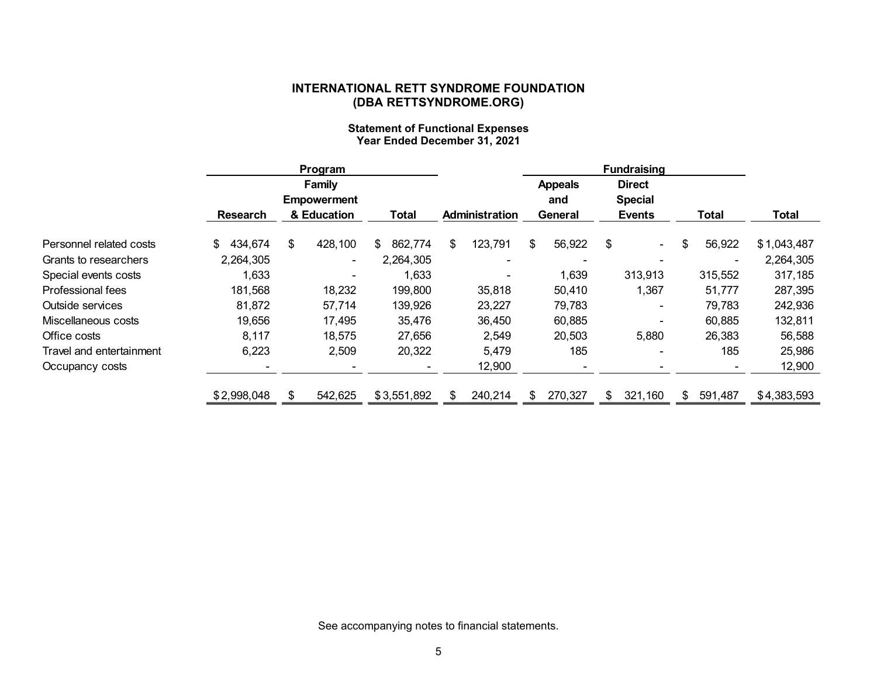|                          |                 | Program                                            |     |              |                          |     |                                         | <b>Fundraising</b>                               |                          |              |
|--------------------------|-----------------|----------------------------------------------------|-----|--------------|--------------------------|-----|-----------------------------------------|--------------------------------------------------|--------------------------|--------------|
|                          | <b>Research</b> | <b>Family</b><br><b>Empowerment</b><br>& Education |     | <b>Total</b> | Administration           |     | <b>Appeals</b><br>and<br><b>General</b> | <b>Direct</b><br><b>Special</b><br><b>Events</b> | <b>Total</b>             | <b>Total</b> |
|                          |                 |                                                    |     |              |                          |     |                                         |                                                  |                          |              |
| Personnel related costs  | 434,674<br>\$   | \$<br>428,100                                      | \$. | 862,774      | \$<br>123,791            | \$  | 56,922                                  | \$<br>$\blacksquare$                             | \$<br>56,922             | \$1,043,487  |
| Grants to researchers    | 2,264,305       | $\overline{\phantom{0}}$                           |     | 2,264,305    | $\overline{\phantom{0}}$ |     |                                         |                                                  | $\overline{\phantom{a}}$ | 2,264,305    |
| Special events costs     | 1,633           |                                                    |     | 1,633        | $\overline{\phantom{a}}$ |     | 1,639                                   | 313,913                                          | 315,552                  | 317,185      |
| Professional fees        | 181,568         | 18,232                                             |     | 199,800      | 35,818                   |     | 50,410                                  | 1,367                                            | 51,777                   | 287,395      |
| Outside services         | 81,872          | 57,714                                             |     | 139,926      | 23,227                   |     | 79,783                                  | $\overline{\phantom{a}}$                         | 79,783                   | 242,936      |
| Miscellaneous costs      | 19,656          | 17,495                                             |     | 35,476       | 36,450                   |     | 60,885                                  |                                                  | 60,885                   | 132,811      |
| Office costs             | 8,117           | 18,575                                             |     | 27,656       | 2,549                    |     | 20,503                                  | 5,880                                            | 26,383                   | 56,588       |
| Travel and entertainment | 6,223           | 2,509                                              |     | 20,322       | 5,479                    |     | 185                                     |                                                  | 185                      | 25,986       |
| Occupancy costs          |                 |                                                    |     |              | 12,900                   |     |                                         |                                                  |                          | 12,900       |
|                          | \$2,998,048     | 542,625                                            |     | \$3,551,892  | \$<br>240,214            | \$. | 270,327                                 | \$<br>321,160                                    | \$<br>591,487            | \$4,383,593  |

#### **Statement of Functional Expenses Year Ended December 31, 2021**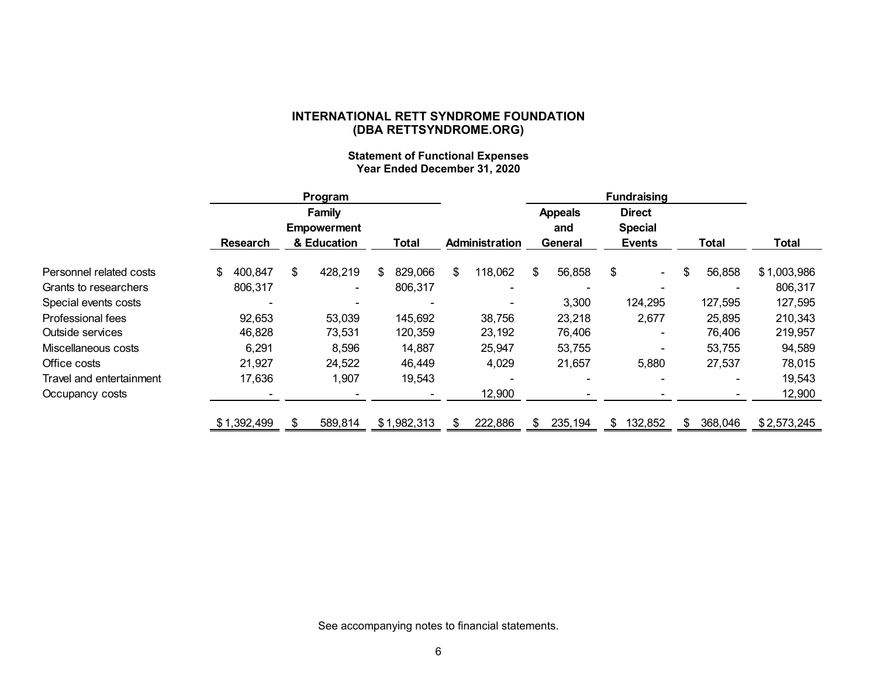**Statement of Functional Expenses Year Ended December 31, 2020** 

|                          |                 | Program            |               |                       |                | <b>Fundraising</b>   |                          |              |
|--------------------------|-----------------|--------------------|---------------|-----------------------|----------------|----------------------|--------------------------|--------------|
|                          |                 | Family             |               |                       | <b>Appeals</b> | <b>Direct</b>        |                          |              |
|                          |                 | <b>Empowerment</b> |               |                       | and            | <b>Special</b>       |                          |              |
|                          | <b>Research</b> | & Education        | Total         | <b>Administration</b> | General        | <b>Events</b>        | <b>Total</b>             | <b>Total</b> |
| Personnel related costs  | \$<br>400,847   | \$<br>428,219      | \$<br>829,066 | \$<br>118,062         | \$<br>56,858   | \$<br>$\blacksquare$ | \$<br>56,858             | \$1,003,986  |
| Grants to researchers    | 806,317         |                    | 806,317       |                       |                |                      | $\overline{\phantom{0}}$ | 806,317      |
| Special events costs     |                 |                    |               |                       | 3,300          | 124,295              | 127,595                  | 127,595      |
| Professional fees        | 92,653          | 53,039             | 145,692       | 38,756                | 23,218         | 2,677                | 25,895                   | 210,343      |
| Outside services         | 46,828          | 73,531             | 120,359       | 23,192                | 76,406         |                      | 76,406                   | 219,957      |
| Miscellaneous costs      | 6,291           | 8,596              | 14,887        | 25,947                | 53,755         |                      | 53,755                   | 94,589       |
| Office costs             | 21,927          | 24,522             | 46,449        | 4,029                 | 21,657         | 5,880                | 27,537                   | 78,015       |
| Travel and entertainment | 17,636          | 1,907              | 19,543        |                       |                |                      | $\,$                     | 19,543       |
| Occupancy costs          |                 |                    |               | 12,900                |                |                      |                          | 12,900       |
|                          | \$1,392,499     | \$<br>589,814      | \$1,982,313   | \$<br>222,886         | 235,194        | \$<br>132,852        | \$<br>368,046            | \$2,573,245  |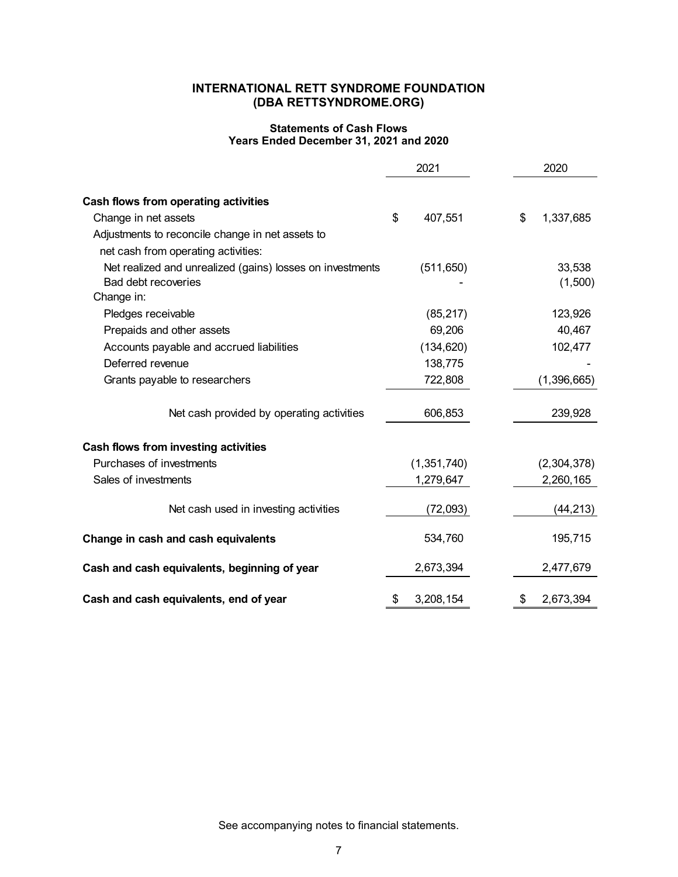## **Statements of Cash Flows Years Ended December 31, 2021 and 2020**

|                                                           | 2021            | 2020            |
|-----------------------------------------------------------|-----------------|-----------------|
| Cash flows from operating activities                      |                 |                 |
|                                                           | \$              | \$              |
| Change in net assets                                      | 407,551         | 1,337,685       |
| Adjustments to reconcile change in net assets to          |                 |                 |
| net cash from operating activities:                       |                 |                 |
| Net realized and unrealized (gains) losses on investments | (511, 650)      | 33,538          |
| Bad debt recoveries                                       |                 | (1,500)         |
| Change in:                                                |                 |                 |
| Pledges receivable                                        | (85, 217)       | 123,926         |
| Prepaids and other assets                                 | 69,206          | 40,467          |
| Accounts payable and accrued liabilities                  | (134, 620)      | 102,477         |
| Deferred revenue                                          | 138,775         |                 |
| Grants payable to researchers                             | 722,808         | (1,396,665)     |
| Net cash provided by operating activities                 | 606,853         | 239,928         |
| Cash flows from investing activities                      |                 |                 |
| Purchases of investments                                  | (1, 351, 740)   | (2,304,378)     |
| Sales of investments                                      | 1,279,647       | 2,260,165       |
| Net cash used in investing activities                     | (72,093)        | (44, 213)       |
| Change in cash and cash equivalents                       | 534,760         | 195,715         |
| Cash and cash equivalents, beginning of year              | 2,673,394       | 2,477,679       |
| Cash and cash equivalents, end of year                    | 3,208,154<br>\$ | 2,673,394<br>\$ |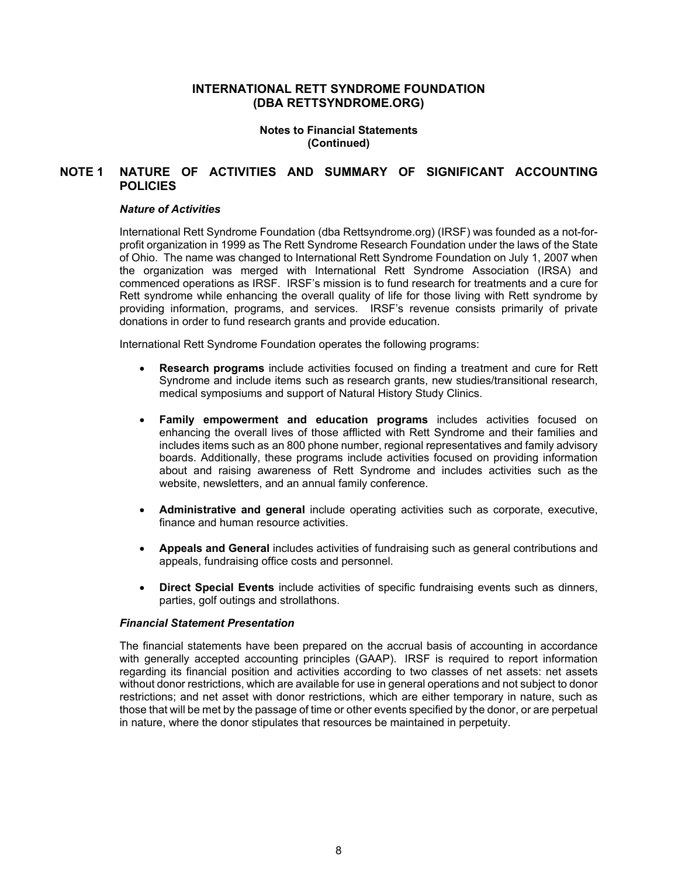#### **Notes to Financial Statements (Continued)**

# **NOTE 1 NATURE OF ACTIVITIES AND SUMMARY OF SIGNIFICANT ACCOUNTING POLICIES**

#### *Nature of Activities*

 International Rett Syndrome Foundation (dba Rettsyndrome.org) (IRSF) was founded as a not-forprofit organization in 1999 as The Rett Syndrome Research Foundation under the laws of the State of Ohio. The name was changed to International Rett Syndrome Foundation on July 1, 2007 when the organization was merged with International Rett Syndrome Association (IRSA) and commenced operations as IRSF. IRSF's mission is to fund research for treatments and a cure for Rett syndrome while enhancing the overall quality of life for those living with Rett syndrome by providing information, programs, and services. IRSF's revenue consists primarily of private donations in order to fund research grants and provide education.

International Rett Syndrome Foundation operates the following programs:

- **Research programs** include activities focused on finding a treatment and cure for Rett Syndrome and include items such as research grants, new studies/transitional research, medical symposiums and support of Natural History Study Clinics.
- **Family empowerment and education programs** includes activities focused on enhancing the overall lives of those afflicted with Rett Syndrome and their families and includes items such as an 800 phone number, regional representatives and family advisory boards. Additionally, these programs include activities focused on providing information about and raising awareness of Rett Syndrome and includes activities such as the website, newsletters, and an annual family conference.
- **Administrative and general** include operating activities such as corporate, executive, finance and human resource activities.
- **Appeals and General** includes activities of fundraising such as general contributions and appeals, fundraising office costs and personnel.
- **Direct Special Events** include activities of specific fundraising events such as dinners, parties, golf outings and strollathons.

#### *Financial Statement Presentation*

The financial statements have been prepared on the accrual basis of accounting in accordance with generally accepted accounting principles (GAAP). IRSF is required to report information regarding its financial position and activities according to two classes of net assets: net assets without donor restrictions, which are available for use in general operations and not subject to donor restrictions; and net asset with donor restrictions, which are either temporary in nature, such as those that will be met by the passage of time or other events specified by the donor, or are perpetual in nature, where the donor stipulates that resources be maintained in perpetuity.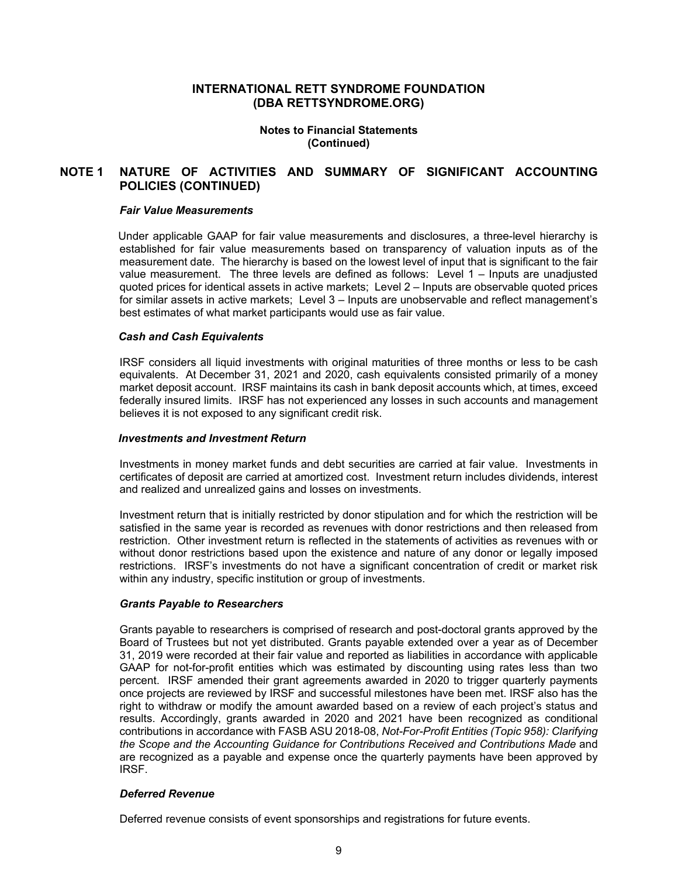#### **Notes to Financial Statements (Continued)**

# **NOTE 1 NATURE OF ACTIVITIES AND SUMMARY OF SIGNIFICANT ACCOUNTING POLICIES (CONTINUED)**

#### *Fair Value Measurements*

Under applicable GAAP for fair value measurements and disclosures, a three-level hierarchy is established for fair value measurements based on transparency of valuation inputs as of the measurement date. The hierarchy is based on the lowest level of input that is significant to the fair value measurement. The three levels are defined as follows: Level 1 – Inputs are unadjusted quoted prices for identical assets in active markets; Level 2 – Inputs are observable quoted prices for similar assets in active markets; Level 3 – Inputs are unobservable and reflect management's best estimates of what market participants would use as fair value.

#### *Cash and Cash Equivalents*

 IRSF considers all liquid investments with original maturities of three months or less to be cash equivalents. At December 31, 2021 and 2020, cash equivalents consisted primarily of a money market deposit account. IRSF maintains its cash in bank deposit accounts which, at times, exceed federally insured limits. IRSF has not experienced any losses in such accounts and management believes it is not exposed to any significant credit risk.

#### *Investments and Investment Return*

 Investments in money market funds and debt securities are carried at fair value. Investments in certificates of deposit are carried at amortized cost. Investment return includes dividends, interest and realized and unrealized gains and losses on investments.

 Investment return that is initially restricted by donor stipulation and for which the restriction will be satisfied in the same year is recorded as revenues with donor restrictions and then released from restriction. Other investment return is reflected in the statements of activities as revenues with or without donor restrictions based upon the existence and nature of any donor or legally imposed restrictions. IRSF's investments do not have a significant concentration of credit or market risk within any industry, specific institution or group of investments.

#### *Grants Payable to Researchers*

Grants payable to researchers is comprised of research and post-doctoral grants approved by the Board of Trustees but not yet distributed. Grants payable extended over a year as of December 31, 2019 were recorded at their fair value and reported as liabilities in accordance with applicable GAAP for not-for-profit entities which was estimated by discounting using rates less than two percent. IRSF amended their grant agreements awarded in 2020 to trigger quarterly payments once projects are reviewed by IRSF and successful milestones have been met. IRSF also has the right to withdraw or modify the amount awarded based on a review of each project's status and results. Accordingly, grants awarded in 2020 and 2021 have been recognized as conditional contributions in accordance with FASB ASU 2018-08, *Not-For-Profit Entities (Topic 958): Clarifying the Scope and the Accounting Guidance for Contributions Received and Contributions Made* and are recognized as a payable and expense once the quarterly payments have been approved by IRSF.

## *Deferred Revenue*

Deferred revenue consists of event sponsorships and registrations for future events.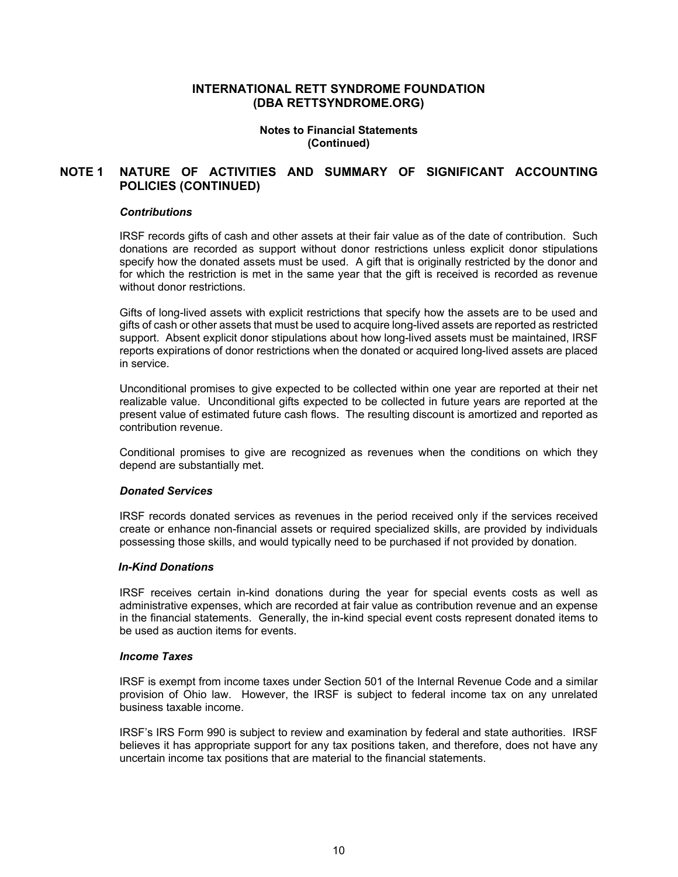#### **Notes to Financial Statements (Continued)**

# **NOTE 1 NATURE OF ACTIVITIES AND SUMMARY OF SIGNIFICANT ACCOUNTING POLICIES (CONTINUED)**

#### *Contributions*

 IRSF records gifts of cash and other assets at their fair value as of the date of contribution. Such donations are recorded as support without donor restrictions unless explicit donor stipulations specify how the donated assets must be used. A gift that is originally restricted by the donor and for which the restriction is met in the same year that the gift is received is recorded as revenue without donor restrictions.

Gifts of long-lived assets with explicit restrictions that specify how the assets are to be used and gifts of cash or other assets that must be used to acquire long-lived assets are reported as restricted support. Absent explicit donor stipulations about how long-lived assets must be maintained, IRSF reports expirations of donor restrictions when the donated or acquired long-lived assets are placed in service.

Unconditional promises to give expected to be collected within one year are reported at their net realizable value. Unconditional gifts expected to be collected in future years are reported at the present value of estimated future cash flows. The resulting discount is amortized and reported as contribution revenue.

Conditional promises to give are recognized as revenues when the conditions on which they depend are substantially met.

#### *Donated Services*

IRSF records donated services as revenues in the period received only if the services received create or enhance non-financial assets or required specialized skills, are provided by individuals possessing those skills, and would typically need to be purchased if not provided by donation.

#### *In-Kind Donations*

IRSF receives certain in-kind donations during the year for special events costs as well as administrative expenses, which are recorded at fair value as contribution revenue and an expense in the financial statements. Generally, the in-kind special event costs represent donated items to be used as auction items for events.

#### *Income Taxes*

 IRSF is exempt from income taxes under Section 501 of the Internal Revenue Code and a similar provision of Ohio law. However, the IRSF is subject to federal income tax on any unrelated business taxable income.

 IRSF's IRS Form 990 is subject to review and examination by federal and state authorities. IRSF believes it has appropriate support for any tax positions taken, and therefore, does not have any uncertain income tax positions that are material to the financial statements.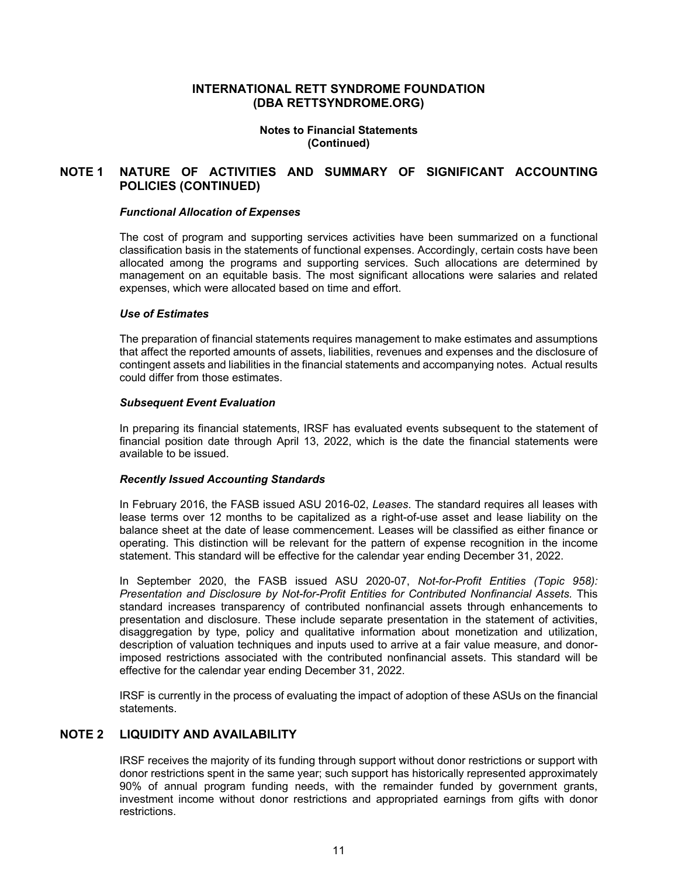#### **Notes to Financial Statements (Continued)**

# **NOTE 1 NATURE OF ACTIVITIES AND SUMMARY OF SIGNIFICANT ACCOUNTING POLICIES (CONTINUED)**

#### *Functional Allocation of Expenses*

 The cost of program and supporting services activities have been summarized on a functional classification basis in the statements of functional expenses. Accordingly, certain costs have been allocated among the programs and supporting services. Such allocations are determined by management on an equitable basis. The most significant allocations were salaries and related expenses, which were allocated based on time and effort.

#### *Use of Estimates*

 The preparation of financial statements requires management to make estimates and assumptions that affect the reported amounts of assets, liabilities, revenues and expenses and the disclosure of contingent assets and liabilities in the financial statements and accompanying notes. Actual results could differ from those estimates.

#### *Subsequent Event Evaluation*

 In preparing its financial statements, IRSF has evaluated events subsequent to the statement of financial position date through April 13, 2022, which is the date the financial statements were available to be issued.

#### *Recently Issued Accounting Standards*

In February 2016, the FASB issued ASU 2016-02, *Leases*. The standard requires all leases with lease terms over 12 months to be capitalized as a right-of-use asset and lease liability on the balance sheet at the date of lease commencement. Leases will be classified as either finance or operating. This distinction will be relevant for the pattern of expense recognition in the income statement. This standard will be effective for the calendar year ending December 31, 2022.

In September 2020, the FASB issued ASU 2020-07, *Not-for-Profit Entities (Topic 958): Presentation and Disclosure by Not-for-Profit Entities for Contributed Nonfinancial Assets.* This standard increases transparency of contributed nonfinancial assets through enhancements to presentation and disclosure. These include separate presentation in the statement of activities, disaggregation by type, policy and qualitative information about monetization and utilization, description of valuation techniques and inputs used to arrive at a fair value measure, and donorimposed restrictions associated with the contributed nonfinancial assets. This standard will be effective for the calendar year ending December 31, 2022.

IRSF is currently in the process of evaluating the impact of adoption of these ASUs on the financial statements.

## **NOTE 2 LIQUIDITY AND AVAILABILITY**

IRSF receives the majority of its funding through support without donor restrictions or support with donor restrictions spent in the same year; such support has historically represented approximately 90% of annual program funding needs, with the remainder funded by government grants, investment income without donor restrictions and appropriated earnings from gifts with donor restrictions.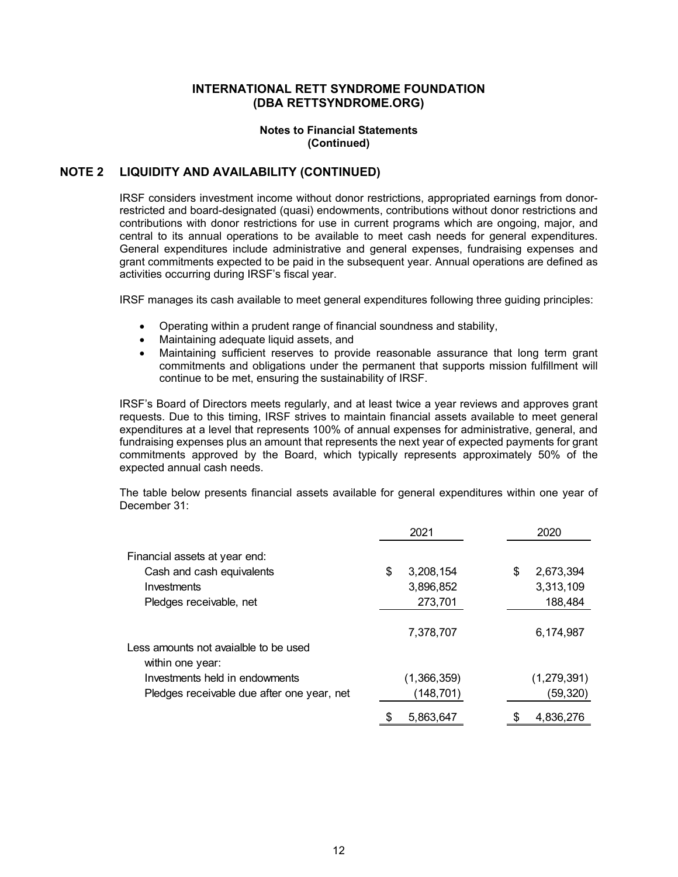## **Notes to Financial Statements (Continued)**

# **NOTE 2 LIQUIDITY AND AVAILABILITY (CONTINUED)**

IRSF considers investment income without donor restrictions, appropriated earnings from donorrestricted and board-designated (quasi) endowments, contributions without donor restrictions and contributions with donor restrictions for use in current programs which are ongoing, major, and central to its annual operations to be available to meet cash needs for general expenditures. General expenditures include administrative and general expenses, fundraising expenses and grant commitments expected to be paid in the subsequent year. Annual operations are defined as activities occurring during IRSF's fiscal year.

IRSF manages its cash available to meet general expenditures following three guiding principles:

- Operating within a prudent range of financial soundness and stability,
- Maintaining adequate liquid assets, and
- Maintaining sufficient reserves to provide reasonable assurance that long term grant commitments and obligations under the permanent that supports mission fulfillment will continue to be met, ensuring the sustainability of IRSF.

IRSF's Board of Directors meets regularly, and at least twice a year reviews and approves grant requests. Due to this timing, IRSF strives to maintain financial assets available to meet general expenditures at a level that represents 100% of annual expenses for administrative, general, and fundraising expenses plus an amount that represents the next year of expected payments for grant commitments approved by the Board, which typically represents approximately 50% of the expected annual cash needs.

The table below presents financial assets available for general expenditures within one year of December 31:

|                                                           | 2021            | 2020            |
|-----------------------------------------------------------|-----------------|-----------------|
| Financial assets at year end:                             |                 |                 |
| Cash and cash equivalents                                 | \$<br>3,208,154 | \$<br>2,673,394 |
| Investments                                               | 3,896,852       | 3,313,109       |
| Pledges receivable, net                                   | 273,701         | 188,484         |
|                                                           | 7,378,707       | 6,174,987       |
| Less amounts not avaialble to be used<br>within one year: |                 |                 |
| Investments held in endowments                            | (1,366,359)     | (1,279,391)     |
| Pledges receivable due after one year, net                | (148, 701)      | (59,320)        |
|                                                           | 5.863.647<br>\$ | 4.836.276<br>\$ |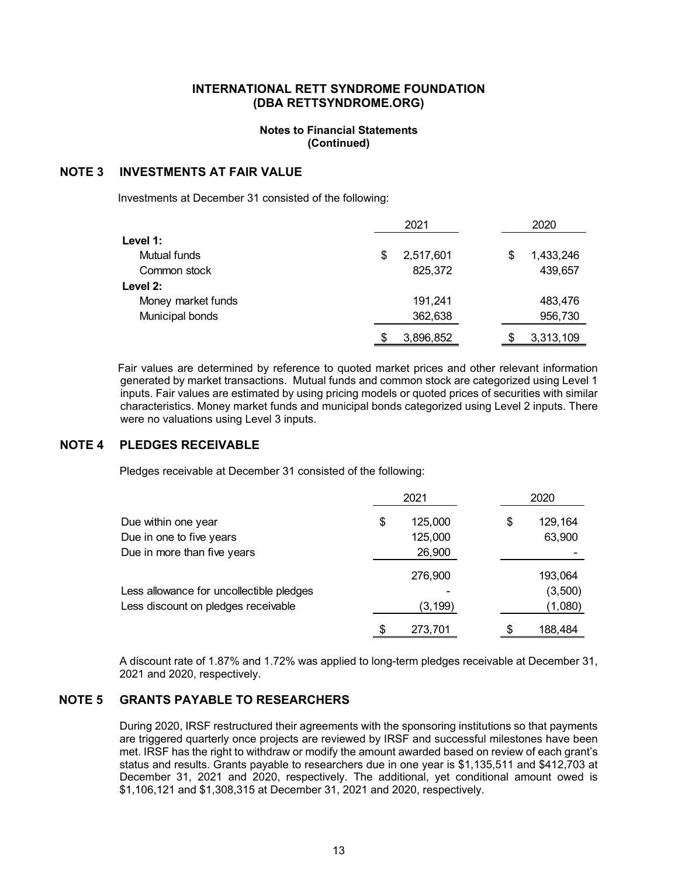## **Notes to Financial Statements (Continued)**

# **NOTE 3 INVESTMENTS AT FAIR VALUE**

Investments at December 31 consisted of the following:

|                    | 2021           | 2020            |
|--------------------|----------------|-----------------|
| Level 1:           |                |                 |
| Mutual funds       | 2,517,601<br>S | 1,433,246<br>\$ |
| Common stock       | 825,372        | 439,657         |
| Level 2:           |                |                 |
| Money market funds | 191,241        | 483,476         |
| Municipal bonds    | 362,638        | 956,730         |
|                    | 3,896,852      | 3,313,109       |

Fair values are determined by reference to quoted market prices and other relevant information generated by market transactions. Mutual funds and common stock are categorized using Level 1 inputs. Fair values are estimated by using pricing models or quoted prices of securities with similar characteristics. Money market funds and municipal bonds categorized using Level 2 inputs. There were no valuations using Level 3 inputs.

#### **NOTE 4 PLEDGES RECEIVABLE**

Pledges receivable at December 31 consisted of the following:

|                                          | 2021          | 2020 |         |  |
|------------------------------------------|---------------|------|---------|--|
| Due within one year                      | \$<br>125,000 | \$   | 129,164 |  |
| Due in one to five years                 | 125,000       |      | 63,900  |  |
| Due in more than five years              | 26,900        |      |         |  |
|                                          | 276,900       |      | 193,064 |  |
| Less allowance for uncollectible pledges |               |      | (3,500) |  |
| Less discount on pledges receivable      | (3, 199)      |      | (1,080) |  |
|                                          | \$<br>273,701 |      | 188,484 |  |

A discount rate of 1.87% and 1.72% was applied to long-term pledges receivable at December 31, 2021 and 2020, respectively.

## **NOTE 5 GRANTS PAYABLE TO RESEARCHERS**

 During 2020, IRSF restructured their agreements with the sponsoring institutions so that payments are triggered quarterly once projects are reviewed by IRSF and successful milestones have been met. IRSF has the right to withdraw or modify the amount awarded based on review of each grant's status and results. Grants payable to researchers due in one year is \$1,135,511 and \$412,703 at December 31, 2021 and 2020, respectively. The additional, yet conditional amount owed is \$1,106,121 and \$1,308,315 at December 31, 2021 and 2020, respectively.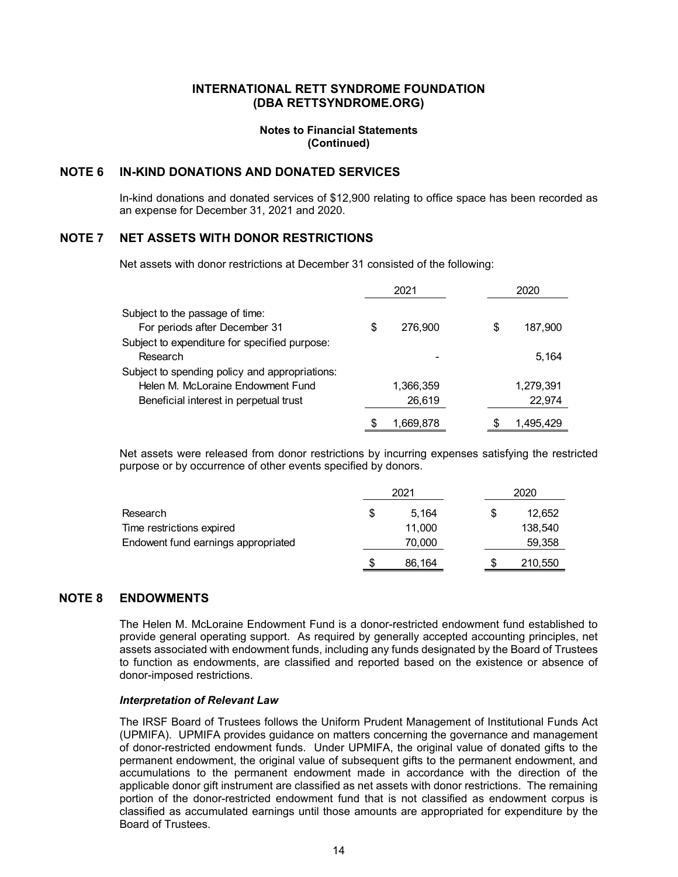## **Notes to Financial Statements (Continued)**

# **NOTE 6 IN-KIND DONATIONS AND DONATED SERVICES**

In-kind donations and donated services of \$12,900 relating to office space has been recorded as an expense for December 31, 2021 and 2020.

# **NOTE 7 NET ASSETS WITH DONOR RESTRICTIONS**

Net assets with donor restrictions at December 31 consisted of the following:

|                                                                  |   | 2021      |   | 2020      |
|------------------------------------------------------------------|---|-----------|---|-----------|
| Subject to the passage of time:<br>For periods after December 31 | S | 276.900   | S | 187,900   |
| Subject to expenditure for specified purpose:<br>Research        |   |           |   | 5.164     |
| Subject to spending policy and appropriations:                   |   |           |   |           |
| Helen M. McLoraine Endowment Fund                                |   | 1,366,359 |   | 1,279,391 |
| Beneficial interest in perpetual trust                           |   | 26,619    |   | 22,974    |
|                                                                  |   | 1,669,878 |   | 1,495,429 |

Net assets were released from donor restrictions by incurring expenses satisfying the restricted purpose or by occurrence of other events specified by donors.

|                                     |    | 2021   | 2020 |         |  |  |  |
|-------------------------------------|----|--------|------|---------|--|--|--|
| Research                            | S  | 5.164  | \$   | 12,652  |  |  |  |
| Time restrictions expired           |    | 11,000 |      | 138.540 |  |  |  |
| Endowent fund earnings appropriated |    | 70,000 |      | 59,358  |  |  |  |
|                                     | \$ | 86,164 | S    | 210,550 |  |  |  |

# **NOTE 8 ENDOWMENTS**

 The Helen M. McLoraine Endowment Fund is a donor-restricted endowment fund established to provide general operating support. As required by generally accepted accounting principles, net assets associated with endowment funds, including any funds designated by the Board of Trustees to function as endowments, are classified and reported based on the existence or absence of donor-imposed restrictions.

#### *Interpretation of Relevant Law*

 The IRSF Board of Trustees follows the Uniform Prudent Management of Institutional Funds Act (UPMIFA). UPMIFA provides guidance on matters concerning the governance and management of donor-restricted endowment funds. Under UPMIFA, the original value of donated gifts to the permanent endowment, the original value of subsequent gifts to the permanent endowment, and accumulations to the permanent endowment made in accordance with the direction of the applicable donor gift instrument are classified as net assets with donor restrictions. The remaining portion of the donor-restricted endowment fund that is not classified as endowment corpus is classified as accumulated earnings until those amounts are appropriated for expenditure by the Board of Trustees.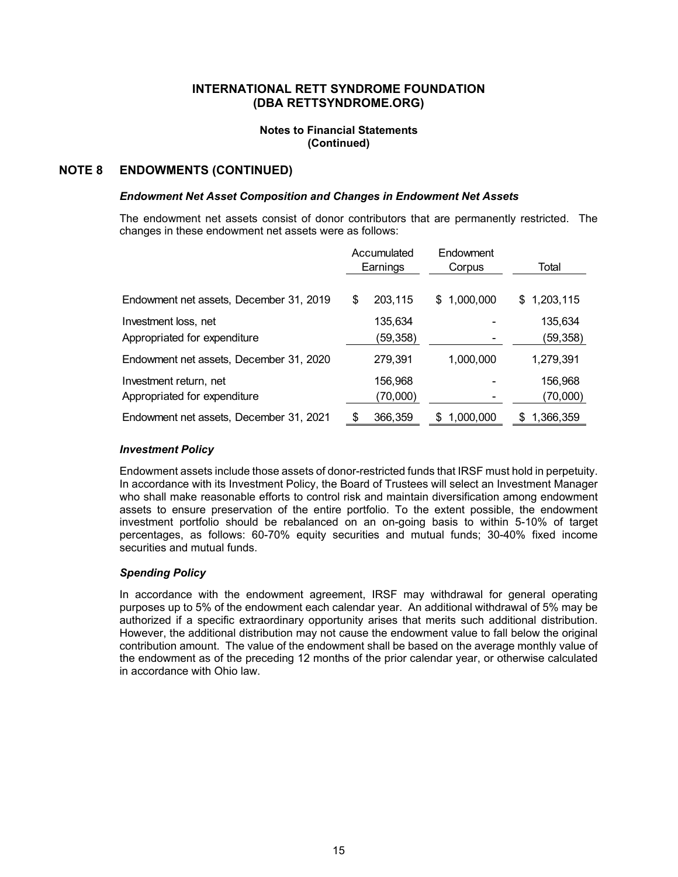## **Notes to Financial Statements (Continued)**

## **NOTE 8 ENDOWMENTS (CONTINUED)**

#### *Endowment Net Asset Composition and Changes in Endowment Net Assets*

 The endowment net assets consist of donor contributors that are permanently restricted. The changes in these endowment net assets were as follows:

|                                         | Accumulated<br>Earnings |          | Endowment   |             |
|-----------------------------------------|-------------------------|----------|-------------|-------------|
|                                         |                         |          | Corpus      | Total       |
|                                         |                         |          |             |             |
| Endowment net assets, December 31, 2019 | \$                      | 203,115  | \$1,000,000 | \$1,203,115 |
| Investment loss, net                    |                         | 135,634  |             | 135,634     |
| Appropriated for expenditure            |                         | (59,358) |             | (59, 358)   |
| Endowment net assets, December 31, 2020 |                         | 279,391  | 1,000,000   | 1,279,391   |
| Investment return, net                  |                         | 156,968  |             | 156,968     |
| Appropriated for expenditure            |                         | (70,000) |             | (70,000)    |
| Endowment net assets, December 31, 2021 |                         | 366,359  | 1,000,000   | 1,366,359   |

#### *Investment Policy*

 Endowment assets include those assets of donor-restricted funds that IRSF must hold in perpetuity. In accordance with its Investment Policy, the Board of Trustees will select an Investment Manager who shall make reasonable efforts to control risk and maintain diversification among endowment assets to ensure preservation of the entire portfolio. To the extent possible, the endowment investment portfolio should be rebalanced on an on-going basis to within 5-10% of target percentages, as follows: 60-70% equity securities and mutual funds; 30-40% fixed income securities and mutual funds.

#### *Spending Policy*

 In accordance with the endowment agreement, IRSF may withdrawal for general operating purposes up to 5% of the endowment each calendar year. An additional withdrawal of 5% may be authorized if a specific extraordinary opportunity arises that merits such additional distribution. However, the additional distribution may not cause the endowment value to fall below the original contribution amount. The value of the endowment shall be based on the average monthly value of the endowment as of the preceding 12 months of the prior calendar year, or otherwise calculated in accordance with Ohio law.